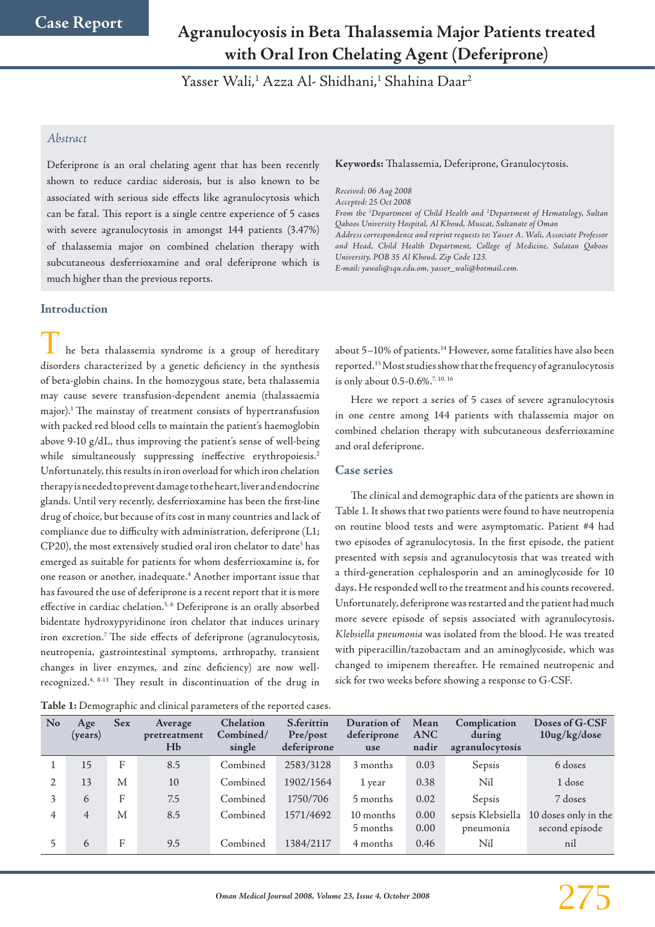# **Agranulocyosis in Beta Thalassemia Major Patients treated with Oral Iron Chelating Agent (Deferiprone)**

Yasser Wali,<sup>1</sup> Azza Al- Shidhani,<sup>1</sup> Shahina Daar<sup>2</sup>

# *Abstract*

Deferiprone is an oral chelating agent that has been recently shown to reduce cardiac siderosis, but is also known to be associated with serious side effects like agranulocytosis which can be fatal. This report is a single centre experience of 5 cases with severe agranulocytosis in amongst 144 patients (3.47%) of thalassemia major on combined chelation therapy with subcutaneous desferrioxamine and oral deferiprone which is much higher than the previous reports.

## **Introduction**

he beta thalassemia syndrome is a group of hereditary disorders characterized by a genetic deficiency in the synthesis of beta-globin chains. In the homozygous state, beta thalassemia may cause severe transfusion-dependent anemia (thalassaemia major).1 The mainstay of treatment consists of hypertransfusion with packed red blood cells to maintain the patient's haemoglobin above 9-10 g/dL, thus improving the patient's sense of well-being while simultaneously suppressing ineffective erythropoiesis.<sup>2</sup> Unfortunately, this results in iron overload for which iron chelation therapy is needed to prevent damage to the heart, liver and endocrine glands. Until very recently, desferrioxamine has been the first-line drug of choice, but because of its cost in many countries and lack of compliance due to difficulty with administration, deferiprone (L1; CP20), the most extensively studied oral iron chelator to date<sup>3</sup> has emerged as suitable for patients for whom desferrioxamine is, for one reason or another, inadequate.4 Another important issue that has favoured the use of deferiprone is a recent report that it is more effective in cardiac chelation.<sup>5, 6</sup> Deferiprone is an orally absorbed bidentate hydroxypyridinone iron chelator that induces urinary iron excretion.7 The side effects of deferiprone (agranulocytosis, neutropenia, gastrointestinal symptoms, arthropathy, transient changes in liver enzymes, and zinc deficiency) are now wellrecognized.4, 8-13 They result in discontinuation of the drug in

**Table 1:** Demographic and clinical parameters of the reported cases.

#### **Keywords:** Thalassemia, Deferiprone, Granulocytosis.

*Received: 06 Aug 2008 Accepted: 25 Oct 2008 From the 1 Department of Child Health and 2 Department of Hematology, Sultan Qaboos University Hospital, Al Khoud, Muscat, Sultanate of Oman Address correspondence and reprint requests to: Yasser A. Wali, Associate Professor and Head, Child Health Department, College of Medicine, Sulatan Qaboos University, POB 35 Al Khoud, Zip Code 123. E-mail: yawali@squ.edu.om, yasser\_wali@hotmail.com.*

about 5-10% of patients.<sup>14</sup> However, some fatalities have also been reported.15 Most studies show that the frequency of agranulocytosis is only about 0.5-0.6%.7, 10, 16

Here we report a series of 5 cases of severe agranulocytosis in one centre among 144 patients with thalassemia major on combined chelation therapy with subcutaneous desferrioxamine and oral deferiprone.

### **Case series**

The clinical and demographic data of the patients are shown in Table 1. It shows that two patients were found to have neutropenia on routine blood tests and were asymptomatic. Patient #4 had two episodes of agranulocytosis. In the first episode, the patient presented with sepsis and agranulocytosis that was treated with a third-generation cephalosporin and an aminoglycoside for 10 days. He responded well to the treatment and his counts recovered. Unfortunately, deferiprone was restarted and the patient had much more severe episode of sepsis associated with agranulocytosis. *Klebsiella pneumonia* was isolated from the blood. He was treated with piperacillin/tazobactam and an aminoglycoside, which was changed to imipenem thereafter. He remained neutropenic and sick for two weeks before showing a response to G-CSF.

| <b>No</b> | Age<br>( <b>years</b> ) | <b>Sex</b> | Average<br>pretreatment<br>Hb | Chelation<br>Combined/<br>single | S.ferittin<br>Pre/post<br>deferiprone | Duration of<br>deferiprone<br>use | Mean<br><b>ANC</b><br>nadir | Complication<br>during<br>agranulocytosis | Doses of G-CSF<br>$10$ ug/kg/dose      |
|-----------|-------------------------|------------|-------------------------------|----------------------------------|---------------------------------------|-----------------------------------|-----------------------------|-------------------------------------------|----------------------------------------|
|           | 15                      | F          | 8.5                           | Combined                         | 2583/3128                             | 3 months                          | 0.03                        | Sepsis                                    | 6 doses                                |
|           | 13                      | M          | 10                            | Combined                         | 1902/1564                             | 1 year                            | 0.38                        | Nil                                       | 1 dose                                 |
| 3         | 6                       | F          | 7.5                           | Combined                         | 1750/706                              | 5 months                          | 0.02                        | Sepsis                                    | 7 doses                                |
| 4         | $\overline{4}$          | M          | 8.5                           | Combined                         | 1571/4692                             | 10 months<br>5 months             | 0.00<br>0.00                | sepsis Klebsiella<br>pneumonia            | 10 doses only in the<br>second episode |
|           | 6                       | F          | 9.5                           | Combined                         | 1384/2117                             | 4 months                          | 0.46                        | Nil                                       | nil                                    |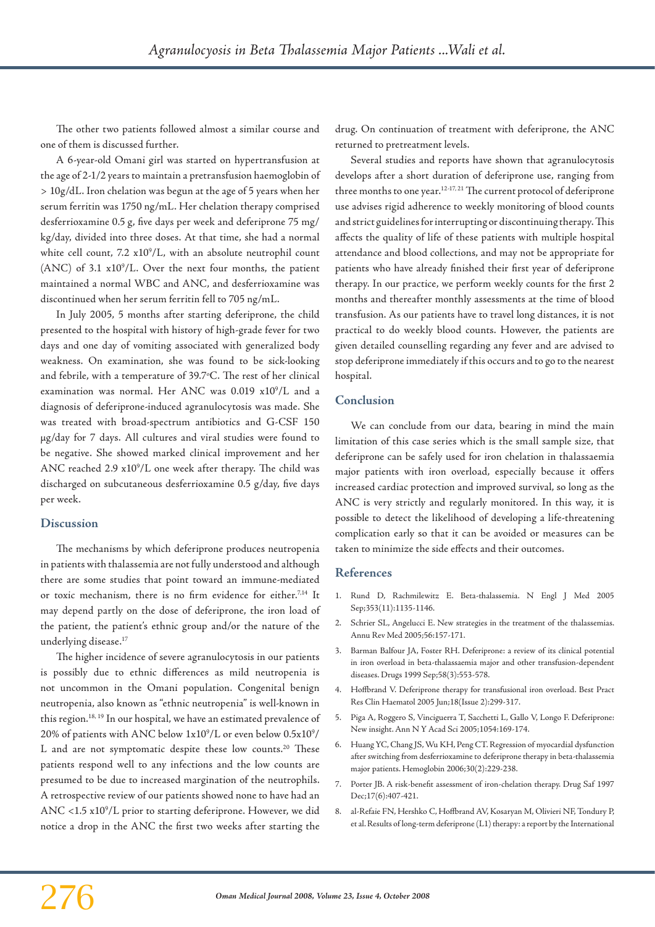The other two patients followed almost a similar course and one of them is discussed further.

A 6-year-old Omani girl was started on hypertransfusion at the age of 2-1/2 years to maintain a pretransfusion haemoglobin of > 10g/dL. Iron chelation was begun at the age of 5 years when her serum ferritin was 1750 ng/mL. Her chelation therapy comprised desferrioxamine 0.5 g, five days per week and deferiprone 75 mg/ kg/day, divided into three doses. At that time, she had a normal white cell count, 7.2 x10<sup>9</sup>/L, with an absolute neutrophil count  $(ANC)$  of 3.1  $x10<sup>9</sup>/L$ . Over the next four months, the patient maintained a normal WBC and ANC, and desferrioxamine was discontinued when her serum ferritin fell to 705 ng/mL.

In July 2005, 5 months after starting deferiprone, the child presented to the hospital with history of high-grade fever for two days and one day of vomiting associated with generalized body weakness. On examination, she was found to be sick-looking and febrile, with a temperature of 39.7°C. The rest of her clinical examination was normal. Her ANC was 0.019 x109 /L and a diagnosis of deferiprone-induced agranulocytosis was made. She was treated with broad-spectrum antibiotics and G-CSF 150 μg/day for 7 days. All cultures and viral studies were found to be negative. She showed marked clinical improvement and her ANC reached  $2.9 \times 10^9$ /L one week after therapy. The child was discharged on subcutaneous desferrioxamine 0.5 g/day, five days per week.

#### **Discussion**

The mechanisms by which deferiprone produces neutropenia in patients with thalassemia are not fully understood and although there are some studies that point toward an immune-mediated or toxic mechanism, there is no firm evidence for either.<sup>7,14</sup> It may depend partly on the dose of deferiprone, the iron load of the patient, the patient's ethnic group and/or the nature of the underlying disease.<sup>17</sup>

The higher incidence of severe agranulocytosis in our patients is possibly due to ethnic differences as mild neutropenia is not uncommon in the Omani population. Congenital benign neutropenia, also known as "ethnic neutropenia" is well-known in this region.18, 19 In our hospital, we have an estimated prevalence of 20% of patients with ANC below 1x10 $^{\rm 9}/{\rm L}$  or even below 0.5x10 $^{\rm 9}/{\rm L}$ L and are not symptomatic despite these low counts.<sup>20</sup> These patients respond well to any infections and the low counts are presumed to be due to increased margination of the neutrophils. A retrospective review of our patients showed none to have had an ANC <1.5 x10<sup>9</sup>/L prior to starting deferiprone. However, we did notice a drop in the ANC the first two weeks after starting the

drug. On continuation of treatment with deferiprone, the ANC returned to pretreatment levels.

Several studies and reports have shown that agranulocytosis develops after a short duration of deferiprone use, ranging from three months to one year.<sup>12-17, 21</sup> The current protocol of deferiprone use advises rigid adherence to weekly monitoring of blood counts and strict guidelines for interrupting or discontinuing therapy. This affects the quality of life of these patients with multiple hospital attendance and blood collections, and may not be appropriate for patients who have already finished their first year of deferiprone therapy. In our practice, we perform weekly counts for the first 2 months and thereafter monthly assessments at the time of blood transfusion. As our patients have to travel long distances, it is not practical to do weekly blood counts. However, the patients are given detailed counselling regarding any fever and are advised to stop deferiprone immediately if this occurs and to go to the nearest hospital.

#### **Conclusion**

We can conclude from our data, bearing in mind the main limitation of this case series which is the small sample size, that deferiprone can be safely used for iron chelation in thalassaemia major patients with iron overload, especially because it offers increased cardiac protection and improved survival, so long as the ANC is very strictly and regularly monitored. In this way, it is possible to detect the likelihood of developing a life-threatening complication early so that it can be avoided or measures can be taken to minimize the side effects and their outcomes.

## **References**

- 1. Rund D, Rachmilewitz E. Beta-thalassemia. N Engl J Med 2005 Sep;353(11):1135-1146.
- 2. Schrier SL, Angelucci E. New strategies in the treatment of the thalassemias. Annu Rev Med 2005;56:157-171.
- 3. Barman Balfour JA, Foster RH. Deferiprone: a review of its clinical potential in iron overload in beta-thalassaemia major and other transfusion-dependent diseases. Drugs 1999 Sep;58(3):553-578.
- 4. Hoffbrand V. Deferiprone therapy for transfusional iron overload. Best Pract Res Clin Haematol 2005 Jun;18(Issue 2):299-317.
- 5. Piga A, Roggero S, Vinciguerra T, Sacchetti L, Gallo V, Longo F. Deferiprone: New insight. Ann N Y Acad Sci 2005;1054:169-174.
- 6. Huang YC, Chang JS, Wu KH, Peng CT. Regression of myocardial dysfunction after switching from desferrioxamine to deferiprone therapy in beta-thalassemia major patients. Hemoglobin 2006;30(2):229-238.
- 7. Porter JB. A risk-benefit assessment of iron-chelation therapy. Drug Saf 1997 Dec;17(6):407-421.
- 8. al-Refaie FN, Hershko C, Hoffbrand AV, Kosaryan M, Olivieri NF, Tondury P, et al. Results of long-term deferiprone (L1) therapy: a report by the International